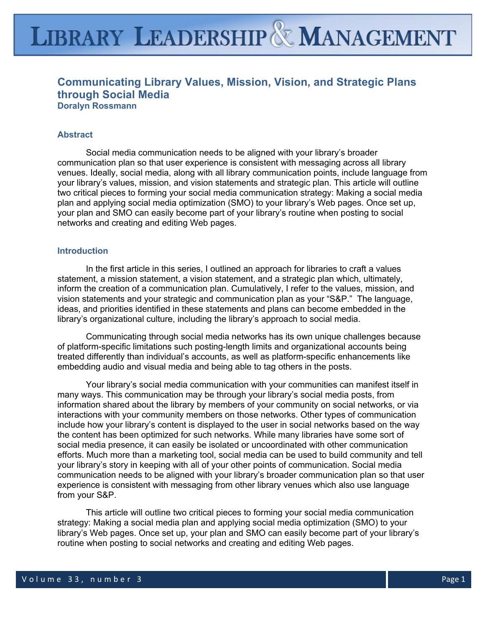# **LIBRARY LEADERSHIP & MANAGEMENT**

# **Communicating Library Values, Mission, Vision, and Strategic Plans through Social Media Doralyn Rossmann**

# **Abstract**

Social media communication needs to be aligned with your library's broader communication plan so that user experience is consistent with messaging across all library venues. Ideally, social media, along with all library communication points, include language from your library's values, mission, and vision statements and strategic plan. This article will outline two critical pieces to forming your social media communication strategy: Making a social media plan and applying social media optimization (SMO) to your library's Web pages. Once set up, your plan and SMO can easily become part of your library's routine when posting to social networks and creating and editing Web pages.

# **Introduction**

In the first article in this series, I outlined an approach for libraries to craft a values statement, a mission statement, a vision statement, and a strategic plan which, ultimately, inform the creation of a communication plan. Cumulatively, I refer to the values, mission, and vision statements and your strategic and communication plan as your "S&P." The language, ideas, and priorities identified in these statements and plans can become embedded in the library's organizational culture, including the library's approach to social media.

Communicating through social media networks has its own unique challenges because of platform-specific limitations such posting-length limits and organizational accounts being treated differently than individual's accounts, as well as platform-specific enhancements like embedding audio and visual media and being able to tag others in the posts.

Your library's social media communication with your communities can manifest itself in many ways. This communication may be through your library's social media posts, from information shared about the library by members of your community on social networks, or via interactions with your community members on those networks. Other types of communication include how your library's content is displayed to the user in social networks based on the way the content has been optimized for such networks. While many libraries have some sort of social media presence, it can easily be isolated or uncoordinated with other communication efforts. Much more than a marketing tool, social media can be used to build community and tell your library's story in keeping with all of your other points of communication. Social media communication needs to be aligned with your library's broader communication plan so that user experience is consistent with messaging from other library venues which also use language from your S&P.

This article will outline two critical pieces to forming your social media communication strategy: Making a social media plan and applying social media optimization (SMO) to your library's Web pages. Once set up, your plan and SMO can easily become part of your library's routine when posting to social networks and creating and editing Web pages.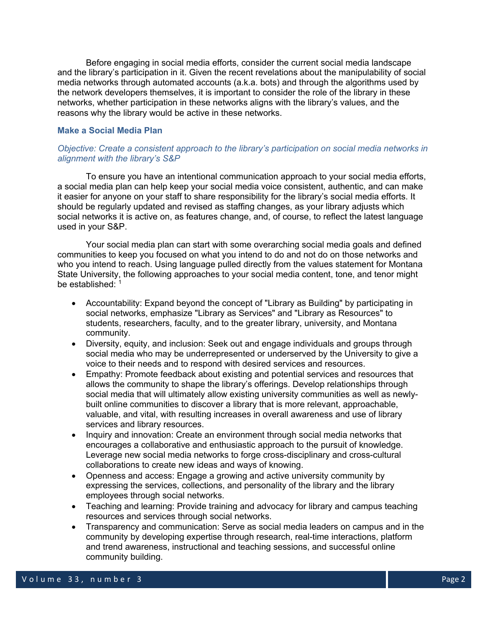Before engaging in social media efforts, consider the current social media landscape and the library's participation in it. Given the recent revelations about the manipulability of social media networks through automated accounts (a.k.a. bots) and through the algorithms used by the network developers themselves, it is important to consider the role of the library in these networks, whether participation in these networks aligns with the library's values, and the reasons why the library would be active in these networks.

# **Make a Social Media Plan**

# *Objective: Create a consistent approach to the library's participation on social media networks in alignment with the library's S&P*

To ensure you have an intentional communication approach to your social media efforts, a social media plan can help keep your social media voice consistent, authentic, and can make it easier for anyone on your staff to share responsibility for the library's social media efforts. It should be regularly updated and revised as staffing changes, as your library adjusts which social networks it is active on, as features change, and, of course, to reflect the latest language used in your S&P.

Your social media plan can start with some overarching social media goals and defined communities to keep you focused on what you intend to do and not do on those networks and who you intend to reach. Using language pulled directly from the values statement for Montana State University, the following approaches to your social media content, tone, and tenor might be established<sup>: 1</sup>

- Accountability: Expand beyond the concept of "Library as Building" by participating in social networks, emphasize "Library as Services" and "Library as Resources" to students, researchers, faculty, and to the greater library, university, and Montana community.
- Diversity, equity, and inclusion: Seek out and engage individuals and groups through social media who may be underrepresented or underserved by the University to give a voice to their needs and to respond with desired services and resources.
- Empathy: Promote feedback about existing and potential services and resources that allows the community to shape the library's offerings. Develop relationships through social media that will ultimately allow existing university communities as well as newlybuilt online communities to discover a library that is more relevant, approachable, valuable, and vital, with resulting increases in overall awareness and use of library services and library resources.
- Inquiry and innovation: Create an environment through social media networks that encourages a collaborative and enthusiastic approach to the pursuit of knowledge. Leverage new social media networks to forge cross-disciplinary and cross-cultural collaborations to create new ideas and ways of knowing.
- Openness and access: Engage a growing and active university community by expressing the services, collections, and personality of the library and the library employees through social networks.
- Teaching and learning: Provide training and advocacy for library and campus teaching resources and services through social networks.
- Transparency and communication: Serve as social media leaders on campus and in the community by developing expertise through research, real-time interactions, platform and trend awareness, instructional and teaching sessions, and successful online community building.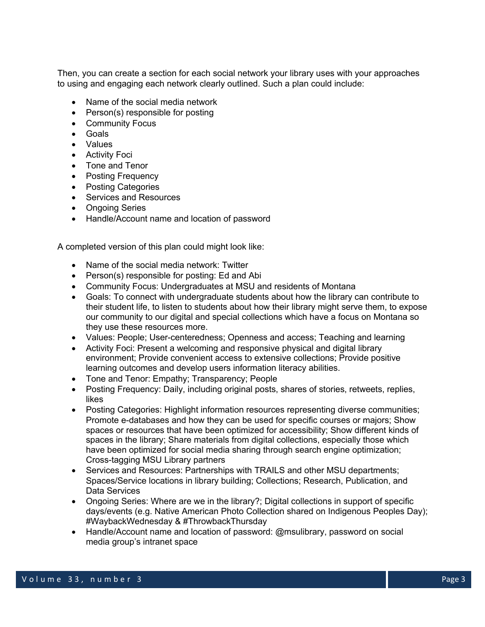Then, you can create a section for each social network your library uses with your approaches to using and engaging each network clearly outlined. Such a plan could include:

- Name of the social media network
- Person(s) responsible for posting
- Community Focus
- Goals
- Values
- Activity Foci
- Tone and Tenor
- Posting Frequency
- Posting Categories
- Services and Resources
- Ongoing Series
- Handle/Account name and location of password

A completed version of this plan could might look like:

- Name of the social media network: Twitter
- Person(s) responsible for posting: Ed and Abi
- Community Focus: Undergraduates at MSU and residents of Montana
- Goals: To connect with undergraduate students about how the library can contribute to their student life, to listen to students about how their library might serve them, to expose our community to our digital and special collections which have a focus on Montana so they use these resources more.
- Values: People; User-centeredness; Openness and access; Teaching and learning
- Activity Foci: Present a welcoming and responsive physical and digital library environment; Provide convenient access to extensive collections; Provide positive learning outcomes and develop users information literacy abilities.
- Tone and Tenor: Empathy; Transparency; People
- Posting Frequency: Daily, including original posts, shares of stories, retweets, replies, likes
- Posting Categories: Highlight information resources representing diverse communities; Promote e-databases and how they can be used for specific courses or majors; Show spaces or resources that have been optimized for accessibility; Show different kinds of spaces in the library; Share materials from digital collections, especially those which have been optimized for social media sharing through search engine optimization; Cross-tagging MSU Library partners
- Services and Resources: Partnerships with TRAILS and other MSU departments; Spaces/Service locations in library building; Collections; Research, Publication, and Data Services
- Ongoing Series: Where are we in the library?; Digital collections in support of specific days/events (e.g. Native American Photo Collection shared on Indigenous Peoples Day); #WaybackWednesday & #ThrowbackThursday
- Handle/Account name and location of password: @msulibrary, password on social media group's intranet space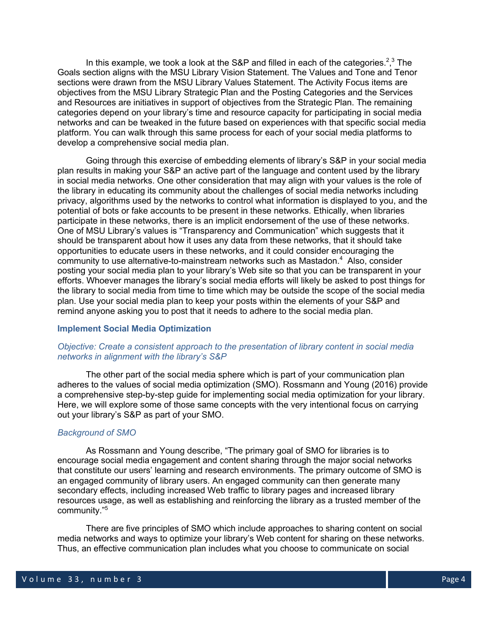In this example, we took a look at the S&P and filled in each of the categories.<sup>2,3</sup> The Goals section aligns with the MSU Library Vision Statement. The Values and Tone and Tenor sections were drawn from the MSU Library Values Statement. The Activity Focus items are objectives from the MSU Library Strategic Plan and the Posting Categories and the Services and Resources are initiatives in support of objectives from the Strategic Plan. The remaining categories depend on your library's time and resource capacity for participating in social media networks and can be tweaked in the future based on experiences with that specific social media platform. You can walk through this same process for each of your social media platforms to develop a comprehensive social media plan.

Going through this exercise of embedding elements of library's S&P in your social media plan results in making your S&P an active part of the language and content used by the library in social media networks. One other consideration that may align with your values is the role of the library in educating its community about the challenges of social media networks including privacy, algorithms used by the networks to control what information is displayed to you, and the potential of bots or fake accounts to be present in these networks. Ethically, when libraries participate in these networks, there is an implicit endorsement of the use of these networks. One of MSU Library's values is "Transparency and Communication" which suggests that it should be transparent about how it uses any data from these networks, that it should take opportunities to educate users in these networks, and it could consider encouraging the community to use alternative-to-mainstream networks such as Mastadon. $4$  Also, consider posting your social media plan to your library's Web site so that you can be transparent in your efforts. Whoever manages the library's social media efforts will likely be asked to post things for the library to social media from time to time which may be outside the scope of the social media plan. Use your social media plan to keep your posts within the elements of your S&P and remind anyone asking you to post that it needs to adhere to the social media plan.

# **Implement Social Media Optimization**

# *Objective: Create a consistent approach to the presentation of library content in social media networks in alignment with the library's S&P*

The other part of the social media sphere which is part of your communication plan adheres to the values of social media optimization (SMO). Rossmann and Young (2016) provide a comprehensive step-by-step guide for implementing social media optimization for your library. Here, we will explore some of those same concepts with the very intentional focus on carrying out your library's S&P as part of your SMO.

#### *Background of SMO*

As Rossmann and Young describe, "The primary goal of SMO for libraries is to encourage social media engagement and content sharing through the major social networks that constitute our users' learning and research environments. The primary outcome of SMO is an engaged community of library users. An engaged community can then generate many secondary effects, including increased Web traffic to library pages and increased library resources usage, as well as establishing and reinforcing the library as a trusted member of the community."<sup>5</sup>

There are five principles of SMO which include approaches to sharing content on social media networks and ways to optimize your library's Web content for sharing on these networks. Thus, an effective communication plan includes what you choose to communicate on social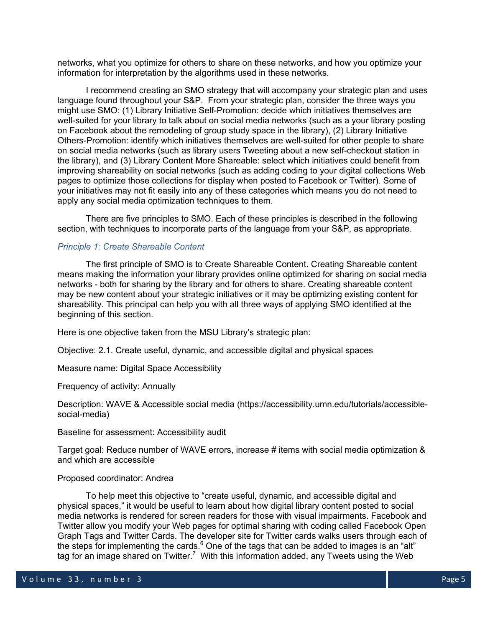networks, what you optimize for others to share on these networks, and how you optimize your information for interpretation by the algorithms used in these networks.

I recommend creating an SMO strategy that will accompany your strategic plan and uses language found throughout your S&P. From your strategic plan, consider the three ways you might use SMO: (1) Library Initiative Self-Promotion: decide which initiatives themselves are well-suited for your library to talk about on social media networks (such as a your library posting on Facebook about the remodeling of group study space in the library), (2) Library Initiative Others-Promotion: identify which initiatives themselves are well-suited for other people to share on social media networks (such as library users Tweeting about a new self-checkout station in the library), and (3) Library Content More Shareable: select which initiatives could benefit from improving shareability on social networks (such as adding coding to your digital collections Web pages to optimize those collections for display when posted to Facebook or Twitter). Some of your initiatives may not fit easily into any of these categories which means you do not need to apply any social media optimization techniques to them.

There are five principles to SMO. Each of these principles is described in the following section, with techniques to incorporate parts of the language from your S&P, as appropriate.

## *Principle 1: Create Shareable Content*

The first principle of SMO is to Create Shareable Content. Creating Shareable content means making the information your library provides online optimized for sharing on social media networks - both for sharing by the library and for others to share. Creating shareable content may be new content about your strategic initiatives or it may be optimizing existing content for shareability. This principal can help you with all three ways of applying SMO identified at the beginning of this section.

Here is one objective taken from the MSU Library's strategic plan:

Objective: 2.1. Create useful, dynamic, and accessible digital and physical spaces

Measure name: Digital Space Accessibility

#### Frequency of activity: Annually

Description: WAVE & Accessible social media (https://accessibility.umn.edu/tutorials/accessiblesocial-media)

Baseline for assessment: Accessibility audit

Target goal: Reduce number of WAVE errors, increase # items with social media optimization & and which are accessible

#### Proposed coordinator: Andrea

To help meet this objective to "create useful, dynamic, and accessible digital and physical spaces," it would be useful to learn about how digital library content posted to social media networks is rendered for screen readers for those with visual impairments. Facebook and Twitter allow you modify your Web pages for optimal sharing with coding called Facebook Open Graph Tags and Twitter Cards. The developer site for Twitter cards walks users through each of the steps for implementing the cards. $6$  One of the tags that can be added to images is an "alt" tag for an image shared on Twitter.<sup>7</sup> With this information added, any Tweets using the Web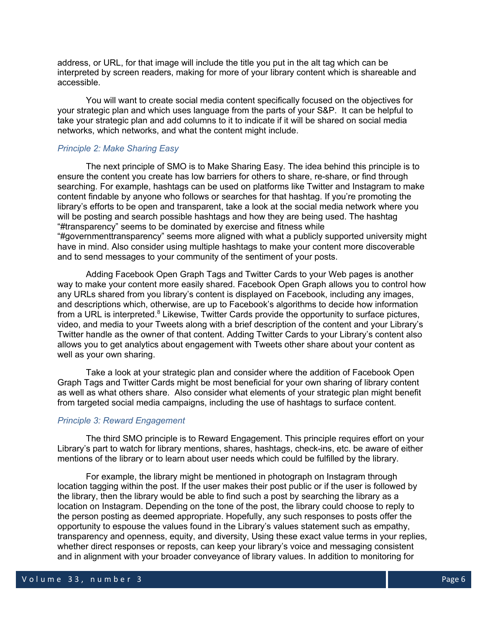address, or URL, for that image will include the title you put in the alt tag which can be interpreted by screen readers, making for more of your library content which is shareable and accessible.

You will want to create social media content specifically focused on the objectives for your strategic plan and which uses language from the parts of your S&P. It can be helpful to take your strategic plan and add columns to it to indicate if it will be shared on social media networks, which networks, and what the content might include.

# *Principle 2: Make Sharing Easy*

The next principle of SMO is to Make Sharing Easy. The idea behind this principle is to ensure the content you create has low barriers for others to share, re-share, or find through searching. For example, hashtags can be used on platforms like Twitter and Instagram to make content findable by anyone who follows or searches for that hashtag. If you're promoting the library's efforts to be open and transparent, take a look at the social media network where you will be posting and search possible hashtags and how they are being used. The hashtag "#transparency" seems to be dominated by exercise and fitness while "#governmenttransparency" seems more aligned with what a publicly supported university might have in mind. Also consider using multiple hashtags to make your content more discoverable and to send messages to your community of the sentiment of your posts.

Adding Facebook Open Graph Tags and Twitter Cards to your Web pages is another way to make your content more easily shared. Facebook Open Graph allows you to control how any URLs shared from you library's content is displayed on Facebook, including any images, and descriptions which, otherwise, are up to Facebook's algorithms to decide how information from a URL is interpreted. $8$  Likewise, Twitter Cards provide the opportunity to surface pictures, video, and media to your Tweets along with a brief description of the content and your Library's Twitter handle as the owner of that content. Adding Twitter Cards to your Library's content also allows you to get analytics about engagement with Tweets other share about your content as well as your own sharing.

Take a look at your strategic plan and consider where the addition of Facebook Open Graph Tags and Twitter Cards might be most beneficial for your own sharing of library content as well as what others share. Also consider what elements of your strategic plan might benefit from targeted social media campaigns, including the use of hashtags to surface content.

#### *Principle 3: Reward Engagement*

The third SMO principle is to Reward Engagement. This principle requires effort on your Library's part to watch for library mentions, shares, hashtags, check-ins, etc. be aware of either mentions of the library or to learn about user needs which could be fulfilled by the library.

For example, the library might be mentioned in photograph on Instagram through location tagging within the post. If the user makes their post public or if the user is followed by the library, then the library would be able to find such a post by searching the library as a location on Instagram. Depending on the tone of the post, the library could choose to reply to the person posting as deemed appropriate. Hopefully, any such responses to posts offer the opportunity to espouse the values found in the Library's values statement such as empathy, transparency and openness, equity, and diversity, Using these exact value terms in your replies, whether direct responses or reposts, can keep your library's voice and messaging consistent and in alignment with your broader conveyance of library values. In addition to monitoring for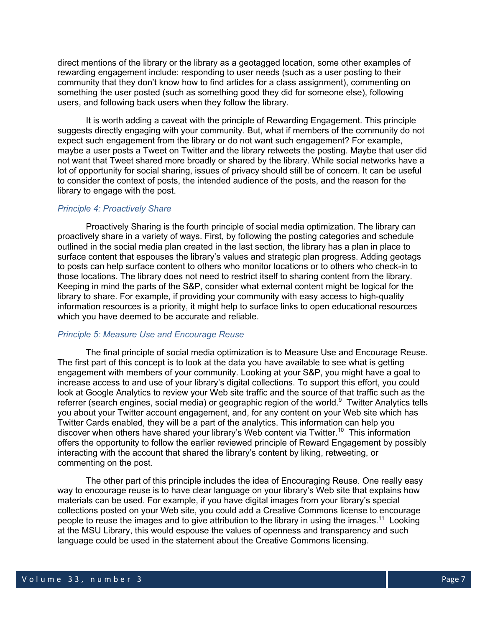direct mentions of the library or the library as a geotagged location, some other examples of rewarding engagement include: responding to user needs (such as a user posting to their community that they don't know how to find articles for a class assignment), commenting on something the user posted (such as something good they did for someone else), following users, and following back users when they follow the library.

It is worth adding a caveat with the principle of Rewarding Engagement. This principle suggests directly engaging with your community. But, what if members of the community do not expect such engagement from the library or do not want such engagement? For example, maybe a user posts a Tweet on Twitter and the library retweets the posting. Maybe that user did not want that Tweet shared more broadly or shared by the library. While social networks have a lot of opportunity for social sharing, issues of privacy should still be of concern. It can be useful to consider the context of posts, the intended audience of the posts, and the reason for the library to engage with the post.

## *Principle 4: Proactively Share*

Proactively Sharing is the fourth principle of social media optimization. The library can proactively share in a variety of ways. First, by following the posting categories and schedule outlined in the social media plan created in the last section, the library has a plan in place to surface content that espouses the library's values and strategic plan progress. Adding geotags to posts can help surface content to others who monitor locations or to others who check-in to those locations. The library does not need to restrict itself to sharing content from the library. Keeping in mind the parts of the S&P, consider what external content might be logical for the library to share. For example, if providing your community with easy access to high-quality information resources is a priority, it might help to surface links to open educational resources which you have deemed to be accurate and reliable.

# *Principle 5: Measure Use and Encourage Reuse*

The final principle of social media optimization is to Measure Use and Encourage Reuse. The first part of this concept is to look at the data you have available to see what is getting engagement with members of your community. Looking at your S&P, you might have a goal to increase access to and use of your library's digital collections. To support this effort, you could look at Google Analytics to review your Web site traffic and the source of that traffic such as the referrer (search engines, social media) or geographic region of the world.<sup>9</sup> Twitter Analytics tells you about your Twitter account engagement, and, for any content on your Web site which has Twitter Cards enabled, they will be a part of the analytics. This information can help you discover when others have shared your library's Web content via Twitter.<sup>10</sup> This information offers the opportunity to follow the earlier reviewed principle of Reward Engagement by possibly interacting with the account that shared the library's content by liking, retweeting, or commenting on the post.

The other part of this principle includes the idea of Encouraging Reuse. One really easy way to encourage reuse is to have clear language on your library's Web site that explains how materials can be used. For example, if you have digital images from your library's special collections posted on your Web site, you could add a Creative Commons license to encourage people to reuse the images and to give attribution to the library in using the images.<sup>11</sup> Looking at the MSU Library, this would espouse the values of openness and transparency and such language could be used in the statement about the Creative Commons licensing.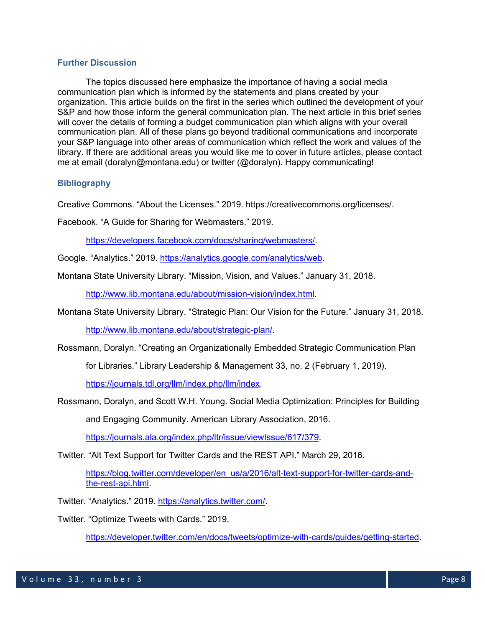# **Further Discussion**

The topics discussed here emphasize the importance of having a social media communication plan which is informed by the statements and plans created by your organization. This article builds on the first in the series which outlined the development of your S&P and how those inform the general communication plan. The next article in this brief series will cover the details of forming a budget communication plan which aligns with your overall communication plan. All of these plans go beyond traditional communications and incorporate your S&P language into other areas of communication which reflect the work and values of the library. If there are additional areas you would like me to cover in future articles, please contact me at email (doralyn@montana.edu) or twitter (@doralyn). Happy communicating!

# **Bibliography**

Creative Commons. "About the Licenses." 2019. https://creativecommons.org/licenses/.

Facebook. "A Guide for Sharing for Webmasters." 2019.

https://developers.facebook.com/docs/sharing/webmasters/.

Google. "Analytics." 2019. https://analytics.google.com/analytics/web.

Montana State University Library. "Mission, Vision, and Values." January 31, 2018.

http://www.lib.montana.edu/about/mission-vision/index.html.

Montana State University Library. "Strategic Plan: Our Vision for the Future." January 31, 2018.

http://www.lib.montana.edu/about/strategic-plan/.

Rossmann, Doralyn. "Creating an Organizationally Embedded Strategic Communication Plan

for Libraries." Library Leadership & Management 33, no. 2 (February 1, 2019).

https://journals.tdl.org/llm/index.php/llm/index.

Rossmann, Doralyn, and Scott W.H. Young. Social Media Optimization: Principles for Building

and Engaging Community. American Library Association, 2016.

https://journals.ala.org/index.php/ltr/issue/viewIssue/617/379.

Twitter. "Alt Text Support for Twitter Cards and the REST API." March 29, 2016.

https://blog.twitter.com/developer/en\_us/a/2016/alt-text-support-for-twitter-cards-andthe-rest-api.html.

Twitter. "Analytics." 2019. https://analytics.twitter.com/.

Twitter. "Optimize Tweets with Cards." 2019.

https://developer.twitter.com/en/docs/tweets/optimize-with-cards/guides/getting-started.